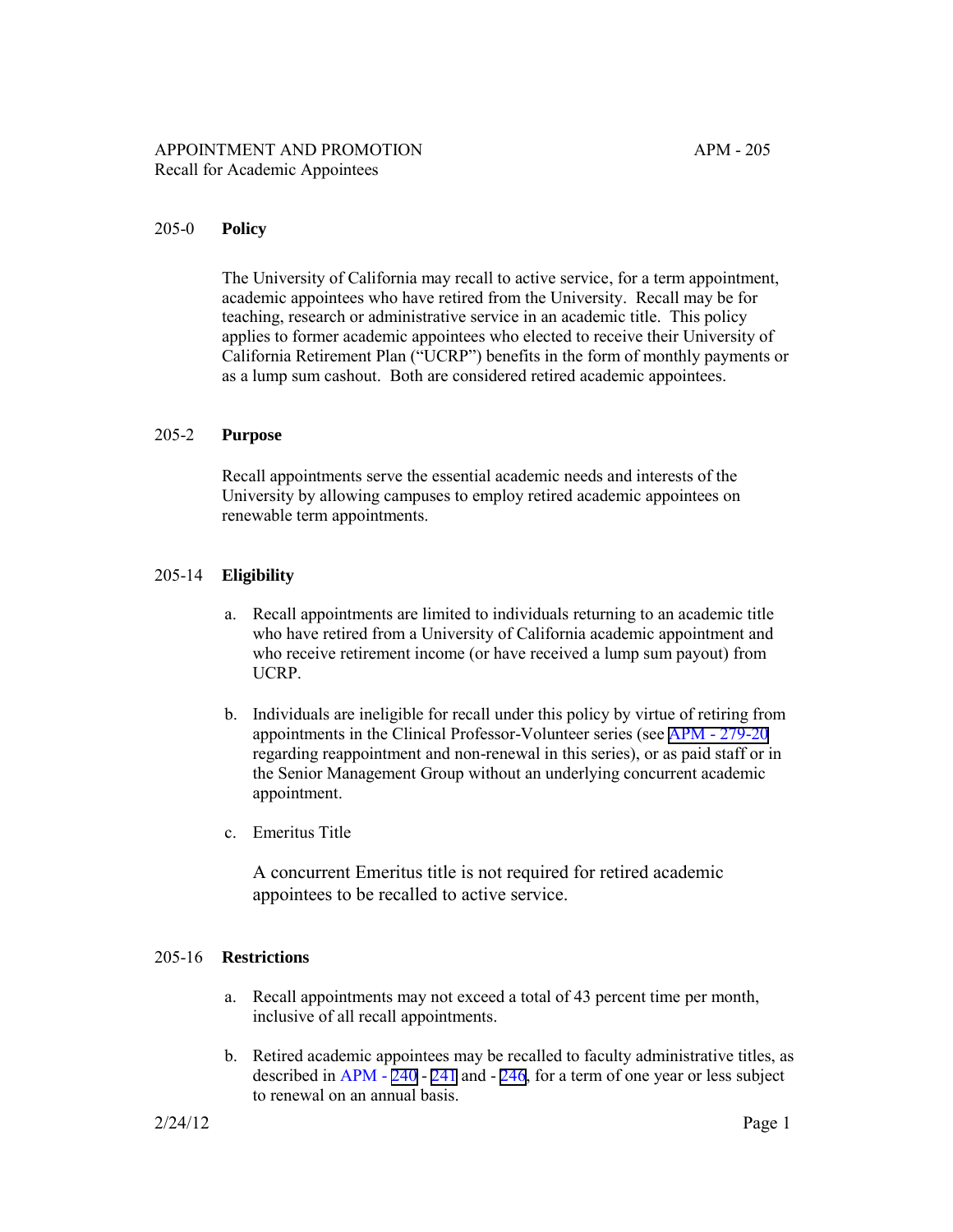## APPOINTMENT AND PROMOTION APM - 205 Recall for Academic Appointees

#### 205-0 **Policy**

The University of California may recall to active service, for a term appointment, academic appointees who have retired from the University. Recall may be for teaching, research or administrative service in an academic title. This policy applies to former academic appointees who elected to receive their University of California Retirement Plan ("UCRP") benefits in the form of monthly payments or as a lump sum cashout. Both are considered retired academic appointees.

#### 205-2 **Purpose**

Recall appointments serve the essential academic needs and interests of the University by allowing campuses to employ retired academic appointees on renewable term appointments.

#### 205-14 **Eligibility**

- a. Recall appointments are limited to individuals returning to an academic title who have retired from a University of California academic appointment and who receive retirement income (or have received a lump sum payout) from UCRP.
- b. Individuals are ineligible for recall under this policy by virtue of retiring from appointments in the Clinical Professor-Volunteer series (see [APM - 279-20](http://ucop.edu/academic-personnel-programs/_files/apm/apm-279.pdf) regarding reappointment and non-renewal in this series), or as paid staff or in the Senior Management Group without an underlying concurrent academic appointment.
- c. Emeritus Title

A concurrent Emeritus title is not required for retired academic appointees to be recalled to active service.

## 205-16 **Restrictions**

- a. Recall appointments may not exceed a total of 43 percent time per month, inclusive of all recall appointments.
- b. Retired academic appointees may be recalled to faculty administrative titles, as described in APM - [240](http://ucop.edu/academic-personnel-programs/_files/apm/apm-240.pdf) - [241](http://ucop.edu/academic-personnel-programs/_files/apm/apm-241.pdf) and - [246](http://ucop.edu/academic-personnel-programs/_files/apm/apm-246.pdf), for a term of one year or less subject to renewal on an annual basis.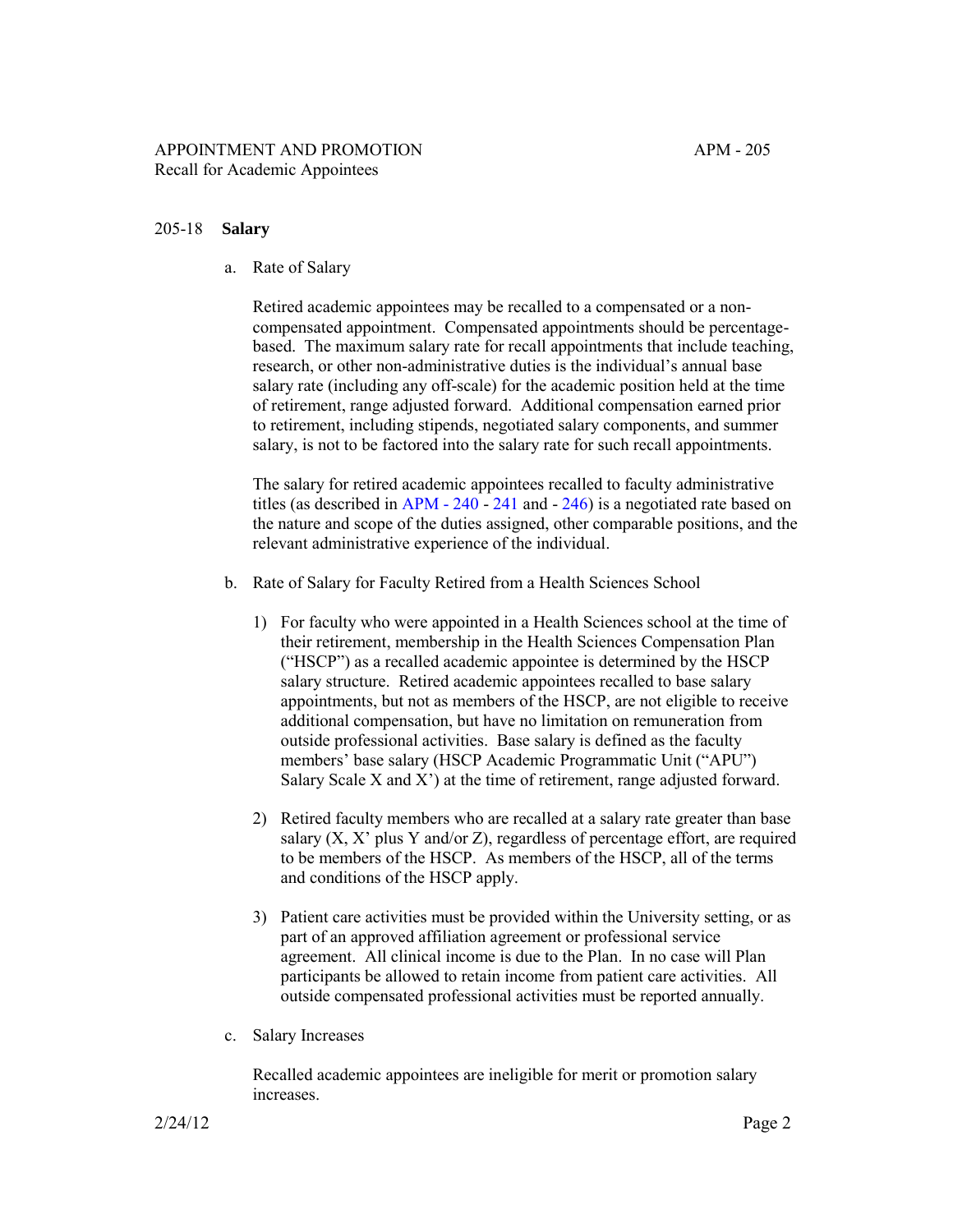### 205-18 **Salary**

a. Rate of Salary

Retired academic appointees may be recalled to a compensated or a noncompensated appointment. Compensated appointments should be percentagebased. The maximum salary rate for recall appointments that include teaching, research, or other non-administrative duties is the individual's annual base salary rate (including any off-scale) for the academic position held at the time of retirement, range adjusted forward. Additional compensation earned prior to retirement, including stipends, negotiated salary components, and summer salary, is not to be factored into the salary rate for such recall appointments.

The salary for retired academic appointees recalled to faculty administrative titles (as described in [APM - 240](http://ucop.edu/academic-personnel-programs/_files/apm/apm-240.pdf) - [241](http://ucop.edu/academic-personnel-programs/_files/apm/apm-241.pdf) and - [246\)](http://ucop.edu/academic-personnel-programs/_files/apm/apm-246.pdf) is a negotiated rate based on the nature and scope of the duties assigned, other comparable positions, and the relevant administrative experience of the individual.

- b. Rate of Salary for Faculty Retired from a Health Sciences School
	- 1) For faculty who were appointed in a Health Sciences school at the time of their retirement, membership in the Health Sciences Compensation Plan ("HSCP") as a recalled academic appointee is determined by the HSCP salary structure. Retired academic appointees recalled to base salary appointments, but not as members of the HSCP, are not eligible to receive additional compensation, but have no limitation on remuneration from outside professional activities. Base salary is defined as the faculty members' base salary (HSCP Academic Programmatic Unit ("APU") Salary Scale X and X') at the time of retirement, range adjusted forward.
	- 2) Retired faculty members who are recalled at a salary rate greater than base salary (X, X' plus Y and/or Z), regardless of percentage effort, are required to be members of the HSCP. As members of the HSCP, all of the terms and conditions of the HSCP apply.
	- 3) Patient care activities must be provided within the University setting, or as part of an approved affiliation agreement or professional service agreement. All clinical income is due to the Plan. In no case will Plan participants be allowed to retain income from patient care activities. All outside compensated professional activities must be reported annually.
- c. Salary Increases

Recalled academic appointees are ineligible for merit or promotion salary increases.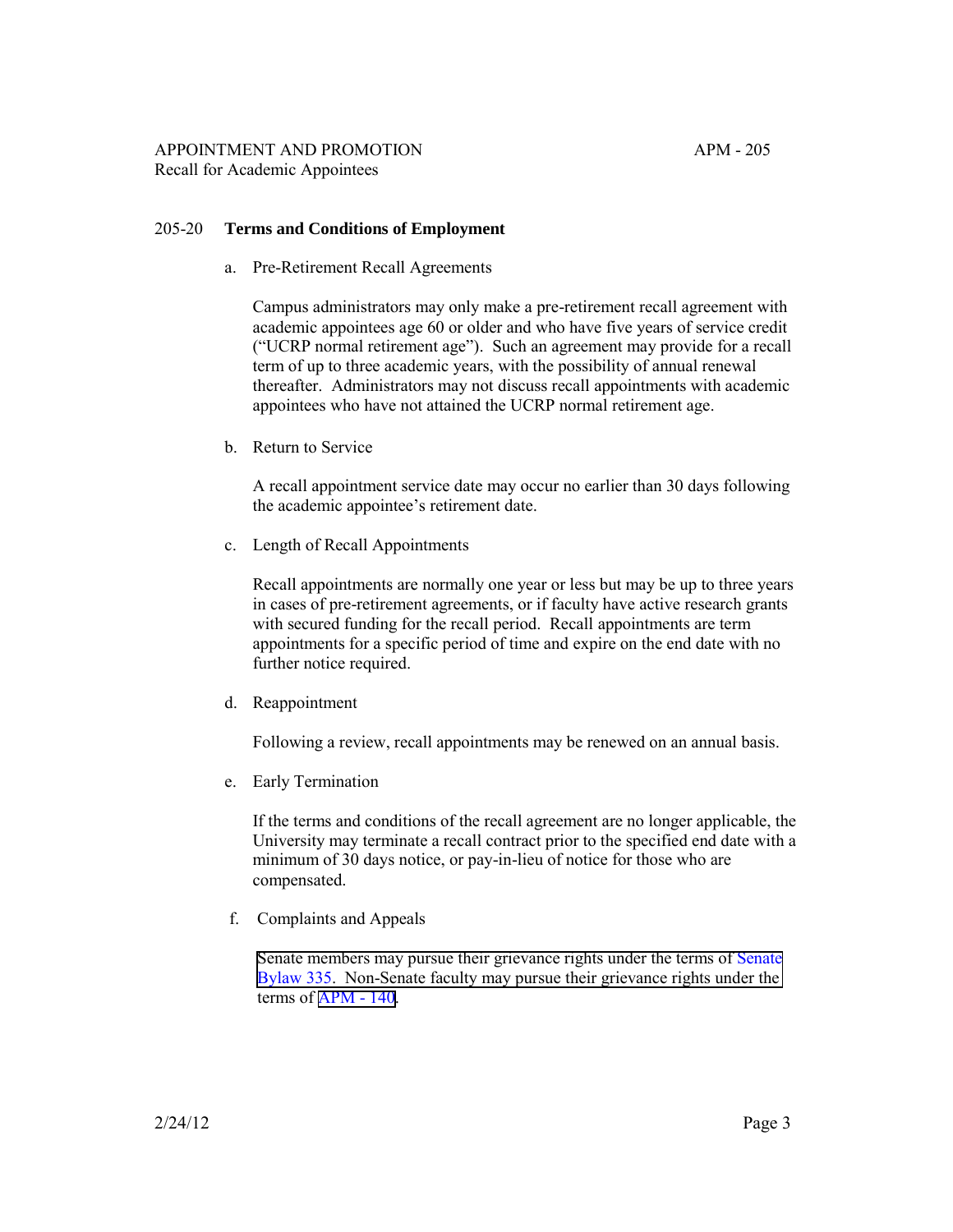## 205-20 **Terms and Conditions of Employment**

a. Pre-Retirement Recall Agreements

Campus administrators may only make a pre-retirement recall agreement with academic appointees age 60 or older and who have five years of service credit ("UCRP normal retirement age"). Such an agreement may provide for a recall term of up to three academic years, with the possibility of annual renewal thereafter. Administrators may not discuss recall appointments with academic appointees who have not attained the UCRP normal retirement age.

b. Return to Service

A recall appointment service date may occur no earlier than 30 days following the academic appointee's retirement date.

c. Length of Recall Appointments

Recall appointments are normally one year or less but may be up to three years in cases of pre-retirement agreements, or if faculty have active research grants with secured funding for the recall period. Recall appointments are term appointments for a specific period of time and expire on the end date with no further notice required.

d. Reappointment

Following a review, recall appointments may be renewed on an annual basis.

e. Early Termination

If the terms and conditions of the recall agreement are no longer applicable, the University may terminate a recall contract prior to the specified end date with a minimum of 30 days notice, or pay-in-lieu of notice for those who are compensated.

f. Complaints and Appeals

Senate members may pursue their grievance rights under the terms of Senate [Bylaw 335. Non-Senate faculty may pursue their grievance rights under the](http://www.universityofcalifornia.edu/senate/manual/blpart3.html#bl335)  terms of [APM - 140.](http://ucop.edu/academic-personnel-programs/_files/apm/apm-140.pdf)